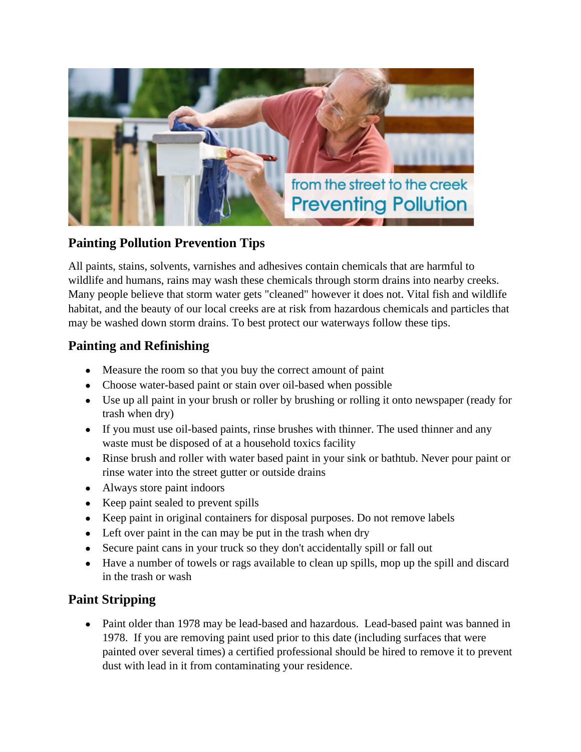

### **Painting Pollution Prevention Tips**

All paints, stains, solvents, varnishes and adhesives contain chemicals that are harmful to wildlife and humans, rains may wash these chemicals through storm drains into nearby creeks. Many people believe that storm water gets "cleaned" however it does not. Vital fish and wildlife habitat, and the beauty of our local creeks are at risk from hazardous chemicals and particles that may be washed down storm drains. To best protect our waterways follow these tips.

#### **Painting and Refinishing**

- Measure the room so that you buy the correct amount of paint
- Choose water-based paint or stain over oil-based when possible
- Use up all paint in your brush or roller by brushing or rolling it onto newspaper (ready for trash when dry)
- If you must use oil-based paints, rinse brushes with thinner. The used thinner and any waste must be disposed of at a household toxics facility
- Rinse brush and roller with water based paint in your sink or bathtub. Never pour paint or rinse water into the street gutter or outside drains
- Always store paint indoors
- Keep paint sealed to prevent spills
- Keep paint in original containers for disposal purposes. Do not remove labels
- Left over paint in the can may be put in the trash when dry
- Secure paint cans in your truck so they don't accidentally spill or fall out
- Have a number of towels or rags available to clean up spills, mop up the spill and discard in the trash or wash

### **Paint Stripping**

• Paint older than 1978 may be lead-based and hazardous. Lead-based paint was banned in 1978. If you are removing paint used prior to this date (including surfaces that were painted over several times) a certified professional should be hired to remove it to prevent dust with lead in it from contaminating your residence.